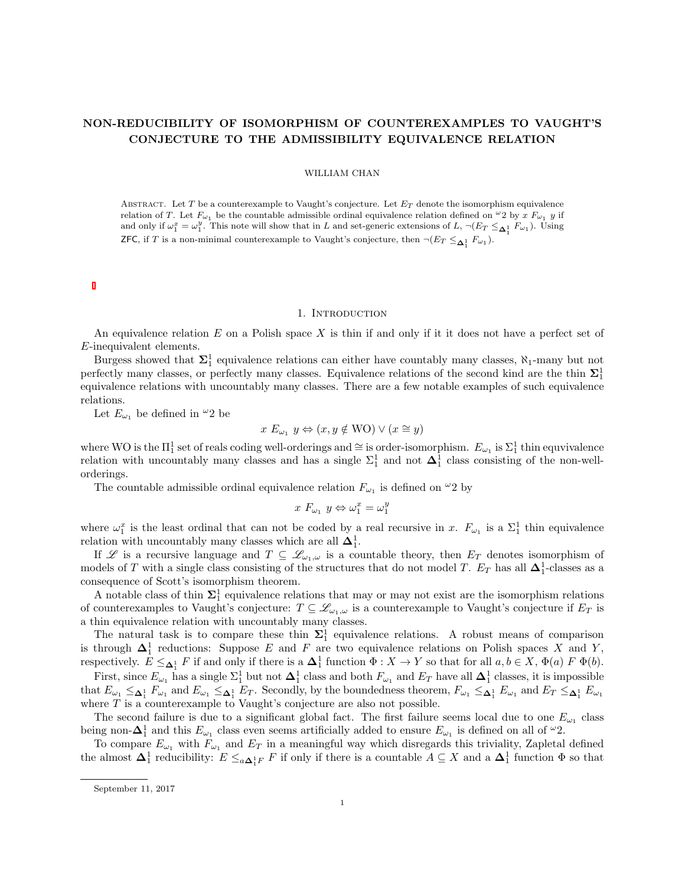# NON-REDUCIBILITY OF ISOMORPHISM OF COUNTEREXAMPLES TO VAUGHT'S CONJECTURE TO THE ADMISSIBILITY EQUIVALENCE RELATION

### WILLIAM CHAN

ABSTRACT. Let T be a counterexample to Vaught's conjecture. Let  $E_T$  denote the isomorphism equivalence relation of T. Let  $F_{\omega_1}$  be the countable admissible ordinal equivalence relation defined on  $\omega_2$  by x  $F_{\omega_1}$  y if and only if  $\omega_1^x = \omega_1^y$ . This note will show that in L and set-generic extensions of L,  $\neg(E_T \leq_{\Delta_1^1} F_{\omega_1})$ . Using **ZFC**, if T is a non-minimal counterexample to Vaught's conjecture, then  $\neg(E_T \leq_{\Delta_1^1} F_{\omega_1})$ .

## 1. INTRODUCTION

An equivalence relation  $E$  on a Polish space  $X$  is thin if and only if it it does not have a perfect set of E-inequivalent elements.

Burgess showed that  $\Sigma_1^1$  equivalence relations can either have countably many classes,  $\aleph_1$ -many but not perfectly many classes, or perfectly many classes. Equivalence relations of the second kind are the thin  $\Sigma_1^1$ equivalence relations with uncountably many classes. There are a few notable examples of such equivalence relations.

Let  $E_{\omega_1}$  be defined in  $\omega_2$  be

$$
x E_{\omega_1} y \Leftrightarrow (x, y \notin \text{WO}) \vee (x \cong y)
$$

where WO is the  $\Pi_1^1$  set of reals coding well-orderings and  $\cong$  is order-isomorphism.  $E_{\omega_1}$  is  $\Sigma_1^1$  thin equvivalence relation with uncountably many classes and has a single  $\Sigma_1^1$  and not  $\Delta_1^1$  class consisting of the non-wellorderings.

The countable admissible ordinal equivalence relation  $F_{\omega_1}$  is defined on  $^{\omega_2}$  by

$$
x F_{\omega_1} y \Leftrightarrow \omega_1^x = \omega_1^y
$$

where  $\omega_1^x$  is the least ordinal that can not be coded by a real recursive in x.  $F_{\omega_1}$  is a  $\Sigma_1^1$  thin equivalence relation with uncountably many classes which are all  $\Delta_1^1$ .

If L is a recursive language and  $T \subseteq \mathcal{L}_{\omega_1,\omega}$  is a countable theory, then  $E_T$  denotes isomorphism of models of T with a single class consisting of the structures that do not model T.  $E_T$  has all  $\Delta_1^1$ -classes as a consequence of Scott's isomorphism theorem.

A notable class of thin  $\Sigma_1^1$  equivalence relations that may or may not exist are the isomorphism relations of counterexamples to Vaught's conjecture:  $T \subseteq \mathcal{L}_{\omega_1,\omega}$  is a counterexample to Vaught's conjecture if  $E_T$  is a thin equivalence relation with uncountably many classes.

The natural task is to compare these thin  $\Sigma_1^1$  equivalence relations. A robust means of comparison is through  $\Delta_1^1$  reductions: Suppose E and F are two equivalence relations on Polish spaces X and Y, respectively.  $E \leq_{\mathbf{\Delta}_1^1} F$  if and only if there is a  $\mathbf{\Delta}_1^1$  function  $\Phi: X \to Y$  so that for all  $a, b \in X$ ,  $\Phi(a) F \Phi(b)$ .

First, since  $E_{\omega_1}$  has a single  $\Sigma_1^1$  but not  $\Delta_1^1$  class and both  $F_{\omega_1}$  and  $E_T$  have all  $\Delta_1^1$  classes, it is impossible that  $E_{\omega_1} \leq_{\mathbf{\Delta}_1^1} F_{\omega_1}$  and  $E_{\omega_1} \leq_{\mathbf{\Delta}_1^1} E_T$ . Secondly, by the boundedness theorem,  $F_{\omega_1} \leq_{\mathbf{\Delta}_1^1} E_{\omega_1}$  and  $E_T \leq_{\mathbf{\Delta}_1^1} E_{\omega_1}$ where  $T$  is a counterexample to Vaught's conjecture are also not possible.

The second failure is due to a significant global fact. The first failure seems local due to one  $E_{\omega_1}$  class being non- $\Delta_1^1$  and this  $E_{\omega_1}$  class even seems artificially added to ensure  $E_{\omega_1}$  is defined on all of  $^{\omega_2}$ .

To compare  $E_{\omega_1}$  with  $F_{\omega_1}$  and  $E_T$  in a meaningful way which disregards this triviality, Zapletal defined the almost  $\Delta_1^1$  reducibility:  $E \leq_{a\Delta_1^1F} F$  if only if there is a countable  $A \subseteq X$  and a  $\Delta_1^1$  function  $\Phi$  so that

September 11, 2017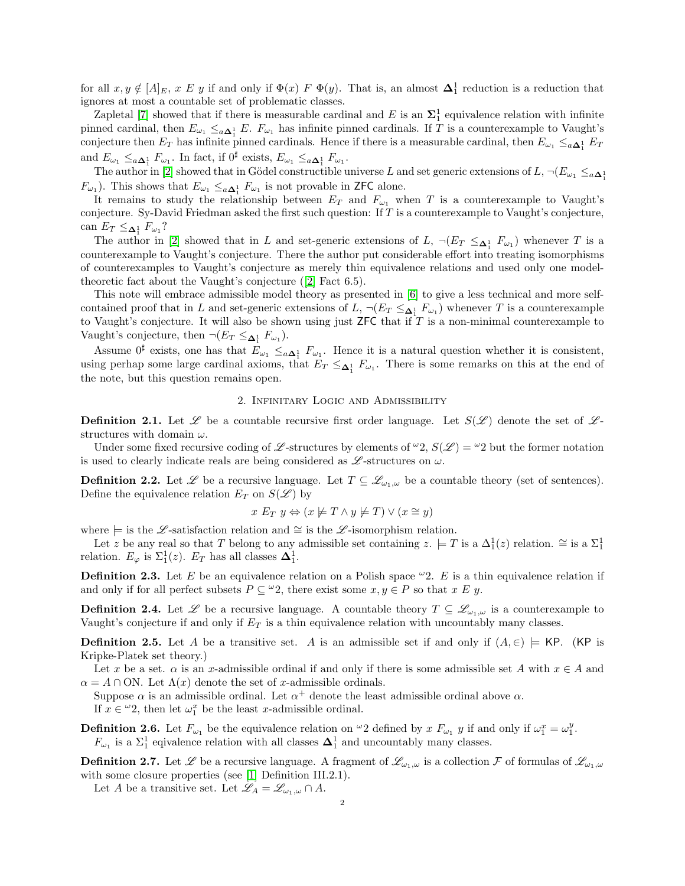for all  $x, y \notin [A]_E$ ,  $x \not\to y$  if and only if  $\Phi(x) \not\to \Phi(y)$ . That is, an almost  $\Delta_1^1$  reduction is a reduction that ignores at most a countable set of problematic classes.

Zapletal [\[7\]](#page-7-0) showed that if there is measurable cardinal and E is an  $\Sigma_1^1$  equivalence relation with infinite pinned cardinal, then  $E_{\omega_1} \leq_{a \Delta_1^1} E$ .  $F_{\omega_1}$  has infinite pinned cardinals. If T is a counterexample to Vaught's conjecture then  $E_T$  has infinite pinned cardinals. Hence if there is a measurable cardinal, then  $E_{\omega_1} \leq_{a \Delta_1^1} E_T$ and  $E_{\omega_1} \leq_{a\Delta_1^1} F_{\omega_1}$ . In fact, if  $0^{\sharp}$  exists,  $E_{\omega_1} \leq_{a\Delta_1^1} F_{\omega_1}$ .

The author in [\[2\]](#page-7-1) showed that in Gödel constructible universe L and set generic extensions of  $L$ ,  $\neg(E_{\omega_1} \leq_{a \Delta_1^1} E_{\omega_2})$  $F_{\omega_1}$ ). This shows that  $E_{\omega_1} \leq_{a \Delta_1^1} F_{\omega_1}$  is not provable in ZFC alone.

It remains to study the relationship between  $E_T$  and  $F_{\omega_1}$  when T is a counterexample to Vaught's conjecture. Sy-David Friedman asked the first such question: If T is a counterexample to Vaught's conjecture, can  $E_T \leq_{\mathbf{\Delta}_1^1} F_{\omega_1}$ ?

The author in [\[2\]](#page-7-1) showed that in L and set-generic extensions of L,  $\neg(E_T \leq_{\Delta_1^1} F_{\omega_1})$  whenever T is a counterexample to Vaught's conjecture. There the author put considerable effort into treating isomorphisms of counterexamples to Vaught's conjecture as merely thin equivalence relations and used only one modeltheoretic fact about the Vaught's conjecture ([\[2\]](#page-7-1) Fact 6.5).

This note will embrace admissible model theory as presented in [\[6\]](#page-7-2) to give a less technical and more selfcontained proof that in L and set-generic extensions of L,  $\neg(E_T \leq_{\Delta_1^1} F_{\omega_1})$  whenever T is a counterexample to Vaught's conjecture. It will also be shown using just  $ZFC$  that if T is a non-minimal counterexample to Vaught's conjecture, then  $\neg(E_T \leq_{\Delta_1^1} F_{\omega_1}).$ 

Assume  $0^{\sharp}$  exists, one has that  $E_{\omega_1} \leq_{a} \Delta_1^{\sharp} F_{\omega_1}$ . Hence it is a natural question whether it is consistent, using perhap some large cardinal axioms, that  $E_T \leq \Delta_1^1$   $F_{\omega_1}$ . There is some remarks on this at the end of the note, but this question remains open.

# 2. Infinitary Logic and Admissibility

**Definition 2.1.** Let  $\mathscr L$  be a countable recursive first order language. Let  $S(\mathscr L)$  denote the set of  $\mathscr L$ structures with domain  $\omega$ .

Under some fixed recursive coding of L -structures by elements of  $\omega_2$ ,  $S(\mathscr{L}) = \omega_2$  but the former notation is used to clearly indicate reals are being considered as  $\mathscr{L}$ -structures on  $\omega$ .

**Definition 2.2.** Let  $\mathscr{L}$  be a recursive language. Let  $T \subseteq \mathscr{L}_{\omega_1,\omega}$  be a countable theory (set of sentences). Define the equivalence relation  $E_T$  on  $S(\mathscr{L})$  by

$$
x E_T y \Leftrightarrow (x \not\models T \land y \not\models T) \lor (x \cong y)
$$

where  $\models$  is the L-satisfaction relation and ≅ is the L-isomorphism relation.

Let z be any real so that T belong to any admissible set containing  $z. \models T$  is a  $\Delta_1^1(z)$  relation.  $\cong$  is a  $\Sigma_1^1$ relation.  $E_{\varphi}$  is  $\Sigma_1^1(z)$ .  $E_T$  has all classes  $\Delta_1^1$ .

**Definition 2.3.** Let E be an equivalence relation on a Polish space  $\infty$  2. E is a thin equivalence relation if and only if for all perfect subsets  $P \subseteq {}^{\omega}2$ , there exist some  $x, y \in P$  so that x E y.

**Definition 2.4.** Let  $\mathscr L$  be a recursive language. A countable theory  $T \subseteq \mathscr L_{\omega_1,\omega}$  is a counterexample to Vaught's conjecture if and only if  $E_T$  is a thin equivalence relation with uncountably many classes.

**Definition 2.5.** Let A be a transitive set. A is an admissible set if and only if  $(A, \in)$   $\models$  KP. (KP is Kripke-Platek set theory.)

Let x be a set.  $\alpha$  is an x-admissible ordinal if and only if there is some admissible set A with  $x \in A$  and  $\alpha = A \cap ON$ . Let  $\Lambda(x)$  denote the set of x-admissible ordinals.

Suppose  $\alpha$  is an admissible ordinal. Let  $\alpha^+$  denote the least admissible ordinal above  $\alpha$ . If  $x \in \omega_2$ , then let  $\omega_1^x$  be the least x-admissible ordinal.

**Definition 2.6.** Let  $F_{\omega_1}$  be the equivalence relation on  $^{\omega_2}$  defined by x  $F_{\omega_1}$  y if and only if  $\omega_1^x = \omega_1^y$ .  $F_{\omega_1}$  is a  $\Sigma_1^1$  eqivalence relation with all classes  $\Delta_1^1$  and uncountably many classes.

**Definition 2.7.** Let  $\mathscr L$  be a recursive language. A fragment of  $\mathscr L_{\omega_1,\omega}$  is a collection  $\mathcal F$  of formulas of  $\mathscr L_{\omega_1,\omega}$ with some closure properties (see [\[1\]](#page-7-3) Definition III.2.1).

Let A be a transitive set. Let  $\mathscr{L}_A = \mathscr{L}_{\omega_1,\omega} \cap A$ .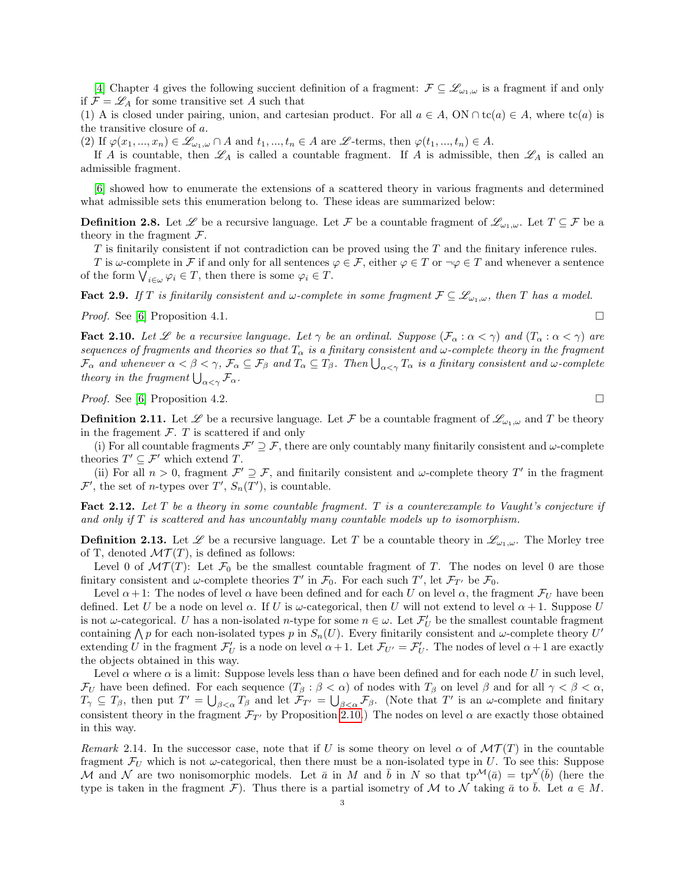[\[4\]](#page-7-4) Chapter 4 gives the following succient definition of a fragment:  $\mathcal{F} \subseteq \mathcal{L}_{\omega_1,\omega}$  is a fragment if and only if  $\mathcal{F} = \mathcal{L}_A$  for some transitive set A such that

(1) A is closed under pairing, union, and cartesian product. For all  $a \in A$ , ON  $\cap$  tc(a)  $\in A$ , where tc(a) is the transitive closure of a.

(2) If  $\varphi(x_1, ..., x_n) \in \mathscr{L}_{\omega_1, \omega} \cap A$  and  $t_1, ..., t_n \in A$  are  $\mathscr{L}$ -terms, then  $\varphi(t_1, ..., t_n) \in A$ .

If A is countable, then  $\mathscr{L}_A$  is called a countable fragment. If A is admissible, then  $\mathscr{L}_A$  is called an admissible fragment.

[\[6\]](#page-7-2) showed how to enumerate the extensions of a scattered theory in various fragments and determined what admissible sets this enumeration belong to. These ideas are summarized below:

**Definition 2.8.** Let  $\mathscr{L}$  be a recursive language. Let  $\mathcal{F}$  be a countable fragment of  $\mathscr{L}_{\omega_1,\omega}$ . Let  $T \subseteq \mathcal{F}$  be a theory in the fragment  $\mathcal{F}$ .

 $T$  is finitarily consistent if not contradiction can be proved using the  $T$  and the finitary inference rules.

T is  $\omega$ -complete in F if and only for all sentences  $\varphi \in \mathcal{F}$ , either  $\varphi \in T$  or  $\neg \varphi \in T$  and whenever a sentence of the form  $\bigvee_{i\in\omega}\varphi_i\in T$ , then there is some  $\varphi_i\in T$ .

**Fact 2.9.** If T is finitarily consistent and  $\omega$ -complete in some fragment  $\mathcal{F} \subseteq \mathcal{L}_{\omega_1,\omega}$ , then T has a model.

*Proof.* See [\[6\]](#page-7-2) Proposition 4.1.

<span id="page-2-0"></span>**Fact 2.10.** Let L be a recursive language. Let  $\gamma$  be an ordinal. Suppose  $(\mathcal{F}_{\alpha}: \alpha < \gamma)$  and  $(T_{\alpha}: \alpha < \gamma)$  are sequences of fragments and theories so that  $T_{\alpha}$  is a finitary consistent and  $\omega$ -complete theory in the fragment  $\mathcal{F}_\alpha$  and whenever  $\alpha<\beta<\gamma$ ,  $\mathcal{F}_\alpha\subseteq\mathcal{F}_\beta$  and  $T_\alpha\subseteq T_\beta$ . Then  $\bigcup_{\alpha<\gamma}T_\alpha$  is a finitary consistent and  $\omega$ -complete theory in the fragment  $\bigcup_{\alpha<\gamma} \mathcal{F}_{\alpha}$ .

*Proof.* See [\[6\]](#page-7-2) Proposition 4.2.

**Definition 2.11.** Let  $\mathscr L$  be a recursive language. Let F be a countable fragment of  $\mathscr L_{\omega_1,\omega}$  and T be theory in the fragement  $\mathcal{F}$ . T is scattered if and only

(i) For all countable fragments  $\mathcal{F}' \supseteq \mathcal{F}$ , there are only countably many finitarily consistent and  $\omega$ -complete theories  $T' \subseteq \mathcal{F}'$  which extend T.

(ii) For all  $n > 0$ , fragment  $\mathcal{F}' \supseteq \mathcal{F}$ , and finitarily consistent and  $\omega$ -complete theory T' in the fragment  $\mathcal{F}'$ , the set of *n*-types over  $T'$ ,  $S_n(T')$ , is countable.

Fact 2.12. Let  $T$  be a theory in some countable fragment.  $T$  is a counterexample to Vaught's conjecture if and only if  $T$  is scattered and has uncountably many countable models up to isomorphism.

**Definition 2.13.** Let  $\mathscr L$  be a recursive language. Let T be a countable theory in  $\mathscr L_{\omega_1,\omega}$ . The Morley tree of T, denoted  $\mathcal{MT}(T)$ , is defined as follows:

Level 0 of  $\mathcal{MT}(T)$ : Let  $\mathcal{F}_0$  be the smallest countable fragment of T. The nodes on level 0 are those finitary consistent and  $\omega$ -complete theories T' in  $\mathcal{F}_0$ . For each such T', let  $\mathcal{F}_{T'}$  be  $\mathcal{F}_0$ .

Level  $\alpha + 1$ : The nodes of level  $\alpha$  have been defined and for each U on level  $\alpha$ , the fragment  $\mathcal{F}_U$  have been defined. Let U be a node on level  $\alpha$ . If U is  $\omega$ -categorical, then U will not extend to level  $\alpha + 1$ . Suppose U is not  $\omega$ -categorical. U has a non-isolated n-type for some  $n \in \omega$ . Let  $\mathcal{F}'_U$  be the smallest countable fragment containing  $\bigwedge p$  for each non-isolated types p in  $S_n(U)$ . Every finitarily consistent and  $\omega$ -complete theory U' extending U in the fragment  $\mathcal{F}'_U$  is a node on level  $\alpha+1$ . Let  $\mathcal{F}_{U'}=\mathcal{F}'_U$ . The nodes of level  $\alpha+1$  are exactly the objects obtained in this way.

Level  $\alpha$  where  $\alpha$  is a limit: Suppose levels less than  $\alpha$  have been defined and for each node U in such level,  $\mathcal{F}_U$  have been defined. For each sequence  $(T_\beta : \beta < \alpha)$  of nodes with  $T_\beta$  on level  $\beta$  and for all  $\gamma < \beta < \alpha$ ,  $T_{\gamma} \subseteq T_{\beta}$ , then put  $T' = \bigcup_{\beta < \alpha} T_{\beta}$  and let  $\mathcal{F}_{T'} = \bigcup_{\beta < \alpha} \mathcal{F}_{\beta}$ . (Note that  $T'$  is an  $\omega$ -complete and finitary consistent theory in the fragment  $\mathcal{F}_{T}$  by Proposition [2.10.](#page-2-0)) The nodes on level  $\alpha$  are exactly those obtained in this way.

<span id="page-2-1"></span>Remark 2.14. In the successor case, note that if U is some theory on level  $\alpha$  of  $\mathcal{MT}(T)$  in the countable fragment  $\mathcal{F}_U$  which is not  $\omega$ -categorical, then there must be a non-isolated type in U. To see this: Suppose M and N are two nonisomorphic models. Let  $\bar{a}$  in M and  $\bar{b}$  in N so that  $tp^{\mathcal{M}}(\bar{a}) = tp^{\mathcal{N}}(\bar{b})$  (here the type is taken in the fragment F). Thus there is a partial isometry of M to N taking  $\bar{a}$  to  $\bar{b}$ . Let  $a \in M$ .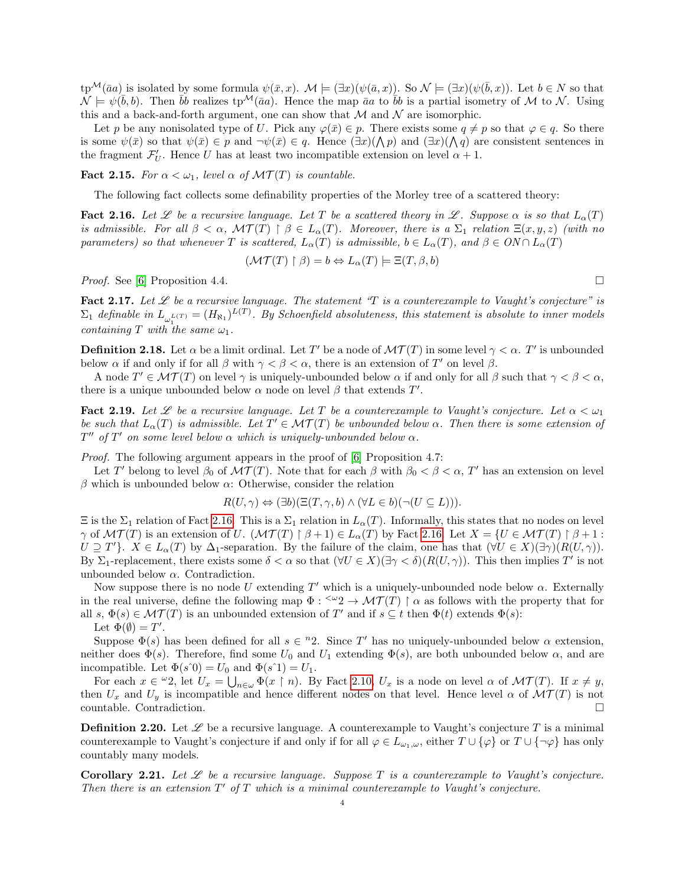$tp^{\mathcal{M}}(\bar{a}a)$  is isolated by some formula  $\psi(\bar{x},x)$ .  $\mathcal{M} \models (\exists x)(\psi(\bar{a},x))$ . So  $\mathcal{N} \models (\exists x)(\psi(\bar{b},x))$ . Let  $b \in N$  so that  $\hat{\mathcal{N}} \models \psi(\bar{b}, b)$ . Then  $\bar{b}b$  realizes tp<sup>M</sup>( $\bar{a}a$ ). Hence the map  $\bar{a}a$  to  $\bar{b}b$  is a partial isometry of M to N. Using this and a back-and-forth argument, one can show that  $\mathcal M$  and  $\mathcal N$  are isomorphic.

Let p be any nonisolated type of U. Pick any  $\varphi(\bar{x}) \in p$ . There exists some  $q \neq p$  so that  $\varphi \in q$ . So there is some  $\psi(\bar{x})$  so that  $\psi(\bar{x}) \in p$  and  $\neg \psi(\bar{x}) \in q$ . Hence  $(\exists x)(\bigwedge p)$  and  $(\exists x)(\bigwedge q)$  are consistent sentences in the fragment  $\mathcal{F}'_U$ . Hence U has at least two incompatible extension on level  $\alpha + 1$ .

**Fact 2.15.** For  $\alpha < \omega_1$ , level  $\alpha$  of  $\mathcal{MT}(T)$  is countable.

The following fact collects some definability properties of the Morley tree of a scattered theory:

<span id="page-3-0"></span>**Fact 2.16.** Let L be a recursive language. Let T be a scattered theory in L. Suppose  $\alpha$  is so that  $L_{\alpha}(T)$ is admissible. For all  $\beta < \alpha$ ,  $\mathcal{MT}(T) \restriction \beta \in L_{\alpha}(T)$ . Moreover, there is a  $\Sigma_1$  relation  $\Xi(x, y, z)$  (with no parameters) so that whenever T is scattered,  $L_{\alpha}(T)$  is admissible,  $b \in L_{\alpha}(T)$ , and  $\beta \in ON \cap L_{\alpha}(T)$ 

$$
(\mathcal{MT}(T) \upharpoonright \beta) = b \Leftrightarrow L_{\alpha}(T) \models \Xi(T, \beta, b)
$$

*Proof.* See [\[6\]](#page-7-2) Proposition 4.4.

<span id="page-3-1"></span>Fact 2.17. Let  $\mathscr L$  be a recursive language. The statement "T is a counterexample to Vaught's conjecture" is  $\Sigma_1$  definable in  $L_{\omega_1^{L(T)}} = (H_{\aleph_1})^{L(T)}$ . By Schoenfield absoluteness, this statement is absolute to inner models containing T with the same  $\omega_1$ .

**Definition 2.18.** Let  $\alpha$  be a limit ordinal. Let T' be a node of  $\mathcal{MT}(T)$  in some level  $\gamma < \alpha$ . T' is unbounded below  $\alpha$  if and only if for all  $\beta$  with  $\gamma < \beta < \alpha$ , there is an extension of T' on level  $\beta$ .

A node  $T' \in \mathcal{MT}(T)$  on level  $\gamma$  is uniquely-unbounded below  $\alpha$  if and only for all  $\beta$  such that  $\gamma < \beta < \alpha$ , there is a unique unbounded below  $\alpha$  node on level  $\beta$  that extends  $T'$ .

<span id="page-3-2"></span>**Fact 2.19.** Let L be a recursive language. Let T be a counterexample to Vaught's conjecture. Let  $\alpha < \omega_1$ be such that  $L_{\alpha}(T)$  is admissible. Let  $T' \in \mathcal{MT}(T)$  be unbounded below  $\alpha$ . Then there is some extension of  $T''$  of  $T'$  on some level below  $\alpha$  which is uniquely-unbounded below  $\alpha$ .

Proof. The following argument appears in the proof of [\[6\]](#page-7-2) Proposition 4.7:

Let T' belong to level  $\beta_0$  of  $\mathcal{MT}(T)$ . Note that for each  $\beta$  with  $\beta_0 < \beta < \alpha$ , T' has an extension on level β which is unbounded below  $\alpha$ : Otherwise, consider the relation

$$
R(U, \gamma) \Leftrightarrow (\exists b)(\Xi(T, \gamma, b) \wedge (\forall L \in b)(\neg (U \subseteq L))).
$$

 $\Xi$  is the  $\Sigma_1$  relation of Fact [2.16.](#page-3-0) This is a  $\Sigma_1$  relation in  $L_\alpha(T)$ . Informally, this states that no nodes on level  $\gamma$  of  $\mathcal{MT}(T)$  is an extension of U.  $(\mathcal{MT}(T) \mid \beta + 1) \in L_{\alpha}(T)$  by Fact [2.16.](#page-3-0) Let  $X = \{U \in \mathcal{MT}(T) \mid \beta + 1 :$  $U \supseteq T'$ .  $X \in L_{\alpha}(T)$  by  $\Delta_1$ -separation. By the failure of the claim, one has that  $(\forall U \in X)(\exists \gamma)(R(U, \gamma))$ . By  $\Sigma_1$ -replacement, there exists some  $\delta < \alpha$  so that  $(\forall U \in X)(\exists \gamma < \delta)(R(U, \gamma))$ . This then implies T' is not unbounded below  $\alpha$ . Contradiction.

Now suppose there is no node U extending  $T'$  which is a uniquely-unbounded node below  $\alpha$ . Externally in the real universe, define the following map  $\Phi: \leq^{\omega} 2 \to \mathcal{MT}(T)$   $\upharpoonright \alpha$  as follows with the property that for all  $s, \Phi(s) \in \mathcal{MT}(T)$  is an unbounded extension of T' and if  $s \subseteq t$  then  $\Phi(t)$  extends  $\Phi(s)$ : Let  $\Phi(\emptyset) = T'$ .

Suppose  $\Phi(s)$  has been defined for all  $s \in {}^n 2$ . Since T' has no uniquely-unbounded below  $\alpha$  extension, neither does  $\Phi(s)$ . Therefore, find some  $U_0$  and  $U_1$  extending  $\Phi(s)$ , are both unbounded below  $\alpha$ , and are incompatible. Let  $\Phi(s\hat{0}) = U_0$  and  $\Phi(s\hat{1}) = U_1$ .

For each  $x \in \omega_2$ , let  $U_x = \bigcup_{n \in \omega} \Phi(x \restriction n)$ . By Fact [2.10,](#page-2-0)  $U_x$  is a node on level  $\alpha$  of  $\mathcal{MT}(T)$ . If  $x \neq y$ , then  $U_x$  and  $U_y$  is incompatible and hence different nodes on that level. Hence level  $\alpha$  of  $\mathcal{MT}(T)$  is not countable. Contradiction.

**Definition 2.20.** Let  $\mathscr L$  be a recursive language. A counterexample to Vaught's conjecture T is a minimal counterexample to Vaught's conjecture if and only if for all  $\varphi \in L_{\omega_1,\omega}$ , either  $T \cup {\varphi}$  or  $T \cup {\neg \varphi}$  has only countably many models.

Corollary 2.21. Let  $\mathscr L$  be a recursive language. Suppose  $T$  is a counterexample to Vaught's conjecture. Then there is an extension  $T'$  of  $T$  which is a minimal counterexample to Vaught's conjecture.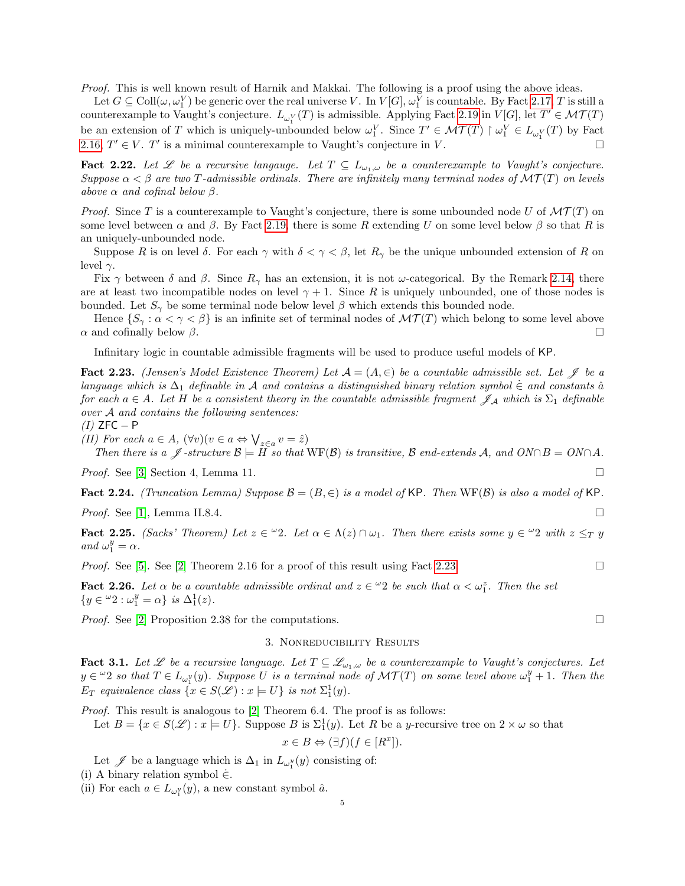Proof. This is well known result of Harnik and Makkai. The following is a proof using the above ideas.

Let  $G \subseteq \text{Coll}(\omega, \omega_1^V)$  be generic over the real universe V. In  $V[G], \omega_1^V$  is countable. By Fact [2.17,](#page-3-1) T is still a counterexample to Vaught's conjecture.  $L_{\omega_1^V}(T)$  is admissible. Applying Fact [2.19](#page-3-2) in  $V[G]$ , let  $T' \in \mathcal{MT}(T)$ be an extension of T which is uniquely-unbounded below  $\omega_1^V$ . Since  $T' \in \mathcal{MT}(T) \restriction \omega_1^V \in L_{\omega_1^V}(T)$  by Fact [2.16,](#page-3-0)  $T' \in V$ . T' is a minimal counterexample to Vaught's conjecture in V.

<span id="page-4-2"></span>**Fact 2.22.** Let  $\mathcal{L}$  be a recursive langauge. Let  $T \subseteq L_{\omega_1,\omega}$  be a counterexample to Vaught's conjecture. Suppose  $\alpha < \beta$  are two T-admissible ordinals. There are infinitely many terminal nodes of  $\mathcal{MT}(T)$  on levels above  $\alpha$  and cofinal below  $\beta$ .

*Proof.* Since T is a counterexample to Vaught's conjecture, there is some unbounded node U of  $\mathcal{MT}(T)$  on some level between  $\alpha$  and  $\beta$ . By Fact [2.19,](#page-3-2) there is some R extending U on some level below  $\beta$  so that R is an uniquely-unbounded node.

Suppose R is on level  $\delta$ . For each  $\gamma$  with  $\delta < \gamma < \beta$ , let  $R_{\gamma}$  be the unique unbounded extension of R on level  $\gamma$ .

Fix  $\gamma$  between  $\delta$  and  $\beta$ . Since  $R_{\gamma}$  has an extension, it is not  $\omega$ -categorical. By the Remark [2.14,](#page-2-1) there are at least two incompatible nodes on level  $\gamma + 1$ . Since R is uniquely unbounded, one of those nodes is bounded. Let  $S_{\gamma}$  be some terminal node below level  $\beta$  which extends this bounded node.

Hence  $\{S_\gamma : \alpha < \gamma < \beta\}$  is an infinite set of terminal nodes of  $\mathcal{MT}(T)$  which belong to some level above  $\alpha$  and cofinally below  $\beta$ .

Infinitary logic in countable admissible fragments will be used to produce useful models of KP.

<span id="page-4-0"></span>**Fact 2.23.** (Jensen's Model Existence Theorem) Let  $A = (A, \in)$  be a countable admissible set. Let  $\mathscr J$  be a language which is  $\Delta_1$  definable in A and contains a distinguished binary relation symbol  $\in$  and constants  $\hat{a}$ for each  $a \in A$ . Let H be a consistent theory in the countable admissible fragment  $\mathscr{J}_A$  which is  $\Sigma_1$  definable over A and contains the following sentences:

$$
(I) \, \mathsf{ZFC} - \mathsf{P}
$$

(II) For each  $a \in A$ ,  $(\forall v)(v \in a \Leftrightarrow \bigvee_{z \in a} v = \hat{z})$ 

Then there is a  $\mathcal{J}$ -structure  $\mathcal{B} \models H$  so that  $WF(\mathcal{B})$  is transitive,  $\mathcal{B}$  end-extends A, and  $ON \cap B = ON \cap A$ .

*Proof.* See [\[3\]](#page-7-5) Section 4, Lemma 11.

<span id="page-4-1"></span>**Fact 2.24.** (Truncation Lemma) Suppose  $\mathcal{B} = (B, \in)$  is a model of KP. Then WF( $\mathcal{B}$ ) is also a model of KP.

*Proof.* See [\[1\]](#page-7-3), Lemma II.8.4.

<span id="page-4-3"></span>**Fact 2.25.** (Sacks' Theorem) Let  $z \in \omega$  2. Let  $\alpha \in \Lambda(z) \cap \omega_1$ . Then there exists some  $y \in \omega$  with  $z \leq_T y$ and  $\omega_1^y = \alpha$ .

*Proof.* See [\[5\]](#page-7-6). See [\[2\]](#page-7-1) Theorem 2.16 for a proof of this result using Fact [2.23.](#page-4-0)

<span id="page-4-4"></span>**Fact 2.26.** Let  $\alpha$  be a countable admissible ordinal and  $z \in \alpha$ <sup>2</sup> be such that  $\alpha < \omega_1^z$ . Then the set  $\{y \in {}^{\omega}2 : \omega_1^y = \alpha\}$  is  $\Delta_1^1(z)$ .

*Proof.* See [\[2\]](#page-7-1) Proposition 2.38 for the computations.

### 3. Nonreducibility Results

<span id="page-4-5"></span>**Fact 3.1.** Let  $\mathscr L$  be a recursive language. Let  $T \subseteq \mathscr L_{\omega_1,\omega}$  be a counterexample to Vaught's conjectures. Let  $y \in {}^{\omega}2$  so that  $T \in L_{\omega_1^y}(y)$ . Suppose U is a terminal node of  $\mathcal{MT}(T)$  on some level above  $\omega_1^y + 1$ . Then the  $E_T$  equivalence class  $\{x \in S(\mathscr{L}) : x \models U\}$  is not  $\Sigma_1^1(y)$ .

Proof. This result is analogous to [\[2\]](#page-7-1) Theorem 6.4. The proof is as follows:

Let  $B = \{x \in S(\mathscr{L}) : x \models U\}$ . Suppose B is  $\Sigma_1^1(y)$ . Let R be a y-recursive tree on  $2 \times \omega$  so that

$$
x \in B \Leftrightarrow (\exists f)(f \in [R^x]).
$$

Let  $\mathscr J$  be a language which is  $\Delta_1$  in  $L_{\omega_1^y}(y)$  consisting of:

(ii) For each  $a \in L_{\omega_1^y}(y)$ , a new constant symbol  $\hat{a}$ .

<sup>(</sup>i) A binary relation symbol  $\dot{\in}$ .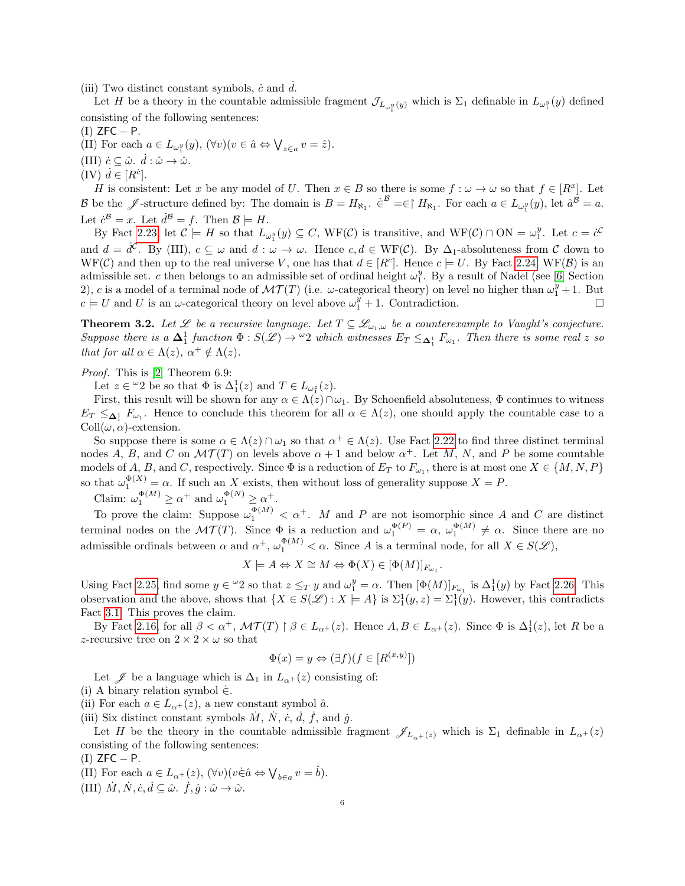(iii) Two distinct constant symbols,  $\dot{c}$  and  $\dot{d}$ .

Let H be a theory in the countable admissible fragment  $\mathcal{J}_{L_{\omega_1^y}(y)}$  which is  $\Sigma_1$  definable in  $L_{\omega_1^y}(y)$  defined consisting of the following sentences:

 $(I)$  ZFC  $-$  P.

(II) For each  $a \in L_{\omega_1^y}(y)$ ,  $(\forall v)(v \in \hat{a} \Leftrightarrow \bigvee_{z \in a} v = \hat{z})$ . (III)  $\dot{c} \subseteq \hat{\omega}$ .  $\dot{d} : \hat{\omega} \to \hat{\omega}$ .  $(IV)$   $\dot{d} \in [R^{\dot{c}}].$ 

H is consistent: Let x be any model of U. Then  $x \in B$  so there is some  $f : \omega \to \omega$  so that  $f \in [R^x]$ . Let B be the  $\mathscr{J}$ -structure defined by: The domain is  $B = H_{\aleph_1}$ .  $\dot{\in}^{\mathcal{B}} = \in \upharpoonright H_{\aleph_1}$ . For each  $a \in L_{\omega_1^y}(y)$ , let  $\hat{a}^{\mathcal{B}} = a$ . Let  $\dot{c}^{\mathcal{B}} = x$ . Let  $\dot{d}^{\mathcal{B}} = f$ . Then  $\mathcal{B} \models H$ .

By Fact [2.23,](#page-4-0) let  $\mathcal{C} \models H$  so that  $L_{\omega_1^y}(y) \subseteq C$ , WF(C) is transitive, and WF(C)  $\cap$  ON =  $\omega_1^y$ . Let  $c = c^{\mathcal{C}}$ and  $d = d^{\mathcal{C}}$ . By (III),  $c \subseteq \omega$  and  $d : \omega \to \omega$ . Hence  $c, d \in WF(\mathcal{C})$ . By  $\Delta_1$ -absoluteness from  $\mathcal C$  down to WF(C) and then up to the real universe V, one has that  $d \in [R^c]$ . Hence  $c \models U$ . By Fact [2.24,](#page-4-1) WF(B) is an admissible set. c then belongs to an admissible set of ordinal height  $\omega_1^y$ . By a result of Nadel (see [\[6\]](#page-7-2) Section 2), c is a model of a terminal node of  $\mathcal{MT}(T)$  (i.e.  $\omega$ -categorical theory) on level no higher than  $\omega_1^y + 1$ . But  $c \models U$  and U is an  $\omega$ -categorical theory on level above  $\omega_1^y + 1$ . Contradiction.

<span id="page-5-0"></span>**Theorem 3.2.** Let L be a recursive language. Let  $T \subseteq \mathcal{L}_{\omega_1,\omega}$  be a counterexample to Vaught's conjecture. Suppose there is a  $\Delta_1^1$  function  $\Phi: S(\mathscr{L}) \to {}^{\omega}2$  which witnesses  $E_T \leq_{\Delta_1^1} F_{\omega_1}$ . Then there is some real z so that for all  $\alpha \in \Lambda(z)$ ,  $\alpha^+ \notin \Lambda(z)$ .

Proof. This is [\[2\]](#page-7-1) Theorem 6.9:

Let  $z \in \omega_2$  be so that  $\Phi$  is  $\Delta_1^1(z)$  and  $T \in L_{\omega_1^z}(z)$ .

First, this result will be shown for any  $\alpha \in \Lambda(z) \cap \omega_1$ . By Schoenfield absoluteness,  $\Phi$  continues to witness  $E_T \leq_{\Delta_1^1} F_{\omega_1}$ . Hence to conclude this theorem for all  $\alpha \in \Lambda(z)$ , one should apply the countable case to a  $Coll(\omega, \alpha)$ -extension.

So suppose there is some  $\alpha \in \Lambda(z) \cap \omega_1$  so that  $\alpha^+ \in \Lambda(z)$ . Use Fact [2.22](#page-4-2) to find three distinct terminal nodes A, B, and C on  $\mathcal{MT}(T)$  on levels above  $\alpha+1$  and below  $\alpha^+$ . Let M, N, and P be some countable models of A, B, and C, respectively. Since  $\Phi$  is a reduction of  $E_T$  to  $F_{\omega_1}$ , there is at most one  $X \in \{M, N, P\}$ so that  $\omega_1^{\Phi(X)} = \alpha$ . If such an X exists, then without loss of generality suppose  $X = P$ .

Claim:  $\omega_1^{\Phi(M)} \ge \alpha^+$  and  $\omega_1^{\Phi(N)} \ge \alpha^+$ .

To prove the claim: Suppose  $\omega_1^{\Phi(M)} < \alpha^+$ . M and P are not isomorphic since A and C are distinct terminal nodes on the  $\mathcal{MT}(T)$ . Since  $\Phi$  is a reduction and  $\omega_1^{\Phi(P)} = \alpha$ ,  $\omega_1^{\Phi(M)} \neq \alpha$ . Since there are no admissible ordinals between  $\alpha$  and  $\alpha^+$ ,  $\omega_1^{\Phi(M)} < \alpha$ . Since A is a terminal node, for all  $X \in S(\mathscr{L})$ ,

$$
X \models A \Leftrightarrow X \cong M \Leftrightarrow \Phi(X) \in [\Phi(M)]_{F_{\omega_1}}
$$

.

Using Fact [2.25,](#page-4-3) find some  $y \in {}^{\omega}2$  so that  $z \leq_T y$  and  $\omega_1^y = \alpha$ . Then  $[\Phi(M)]_{F_{\omega_1}}$  is  $\Delta_1^1(y)$  by Fact [2.26.](#page-4-4) This observation and the above, shows that  $\{X \in S(\mathcal{L}) : X \models A\}$  is  $\Sigma_1^1(y, z) = \Sigma_1^1(y)$ . However, this contradicts Fact [3.1.](#page-4-5) This proves the claim.

By Fact [2.16,](#page-3-0) for all  $\beta < \alpha^+$ ,  $\mathcal{MT}(T) \upharpoonright \beta \in L_{\alpha^+}(z)$ . Hence  $A, B \in L_{\alpha^+}(z)$ . Since  $\Phi$  is  $\Delta_1^1(z)$ , let R be a z-recursive tree on  $2 \times 2 \times \omega$  so that

$$
\Phi(x) = y \Leftrightarrow (\exists f)(f \in [R^{(x,y)}])
$$

Let  $\mathscr J$  be a language which is  $\Delta_1$  in  $L_{\alpha^+}(z)$  consisting of:

(i) A binary relation symbol  $\dot{\in}$ .

(ii) For each  $a \in L_{\alpha^+}(z)$ , a new constant symbol  $\hat{a}$ .

(iii) Six distinct constant symbols  $\dot{M}$ ,  $\dot{N}$ ,  $\dot{c}$ ,  $\dot{d}$ ,  $\dot{f}$ , and  $\dot{g}$ .

Let H be the theory in the countable admissible fragment  $\mathscr{J}_{L_{\alpha+}(z)}$  which is  $\Sigma_1$  definable in  $L_{\alpha+}(z)$ consisting of the following sentences:

 $(I)$  ZFC  $-$  P.

(II) For each  $a \in L_{\alpha^+}(z)$ ,  $(\forall v)(v \in \hat{a} \Leftrightarrow \bigvee_{b \in a} v = \hat{b})$ .

(III)  $\dot{M}, \dot{N}, \dot{c}, \dot{d} \subseteq \hat{\omega}$ .  $\dot{f}, \dot{g} : \hat{\omega} \to \hat{\omega}$ .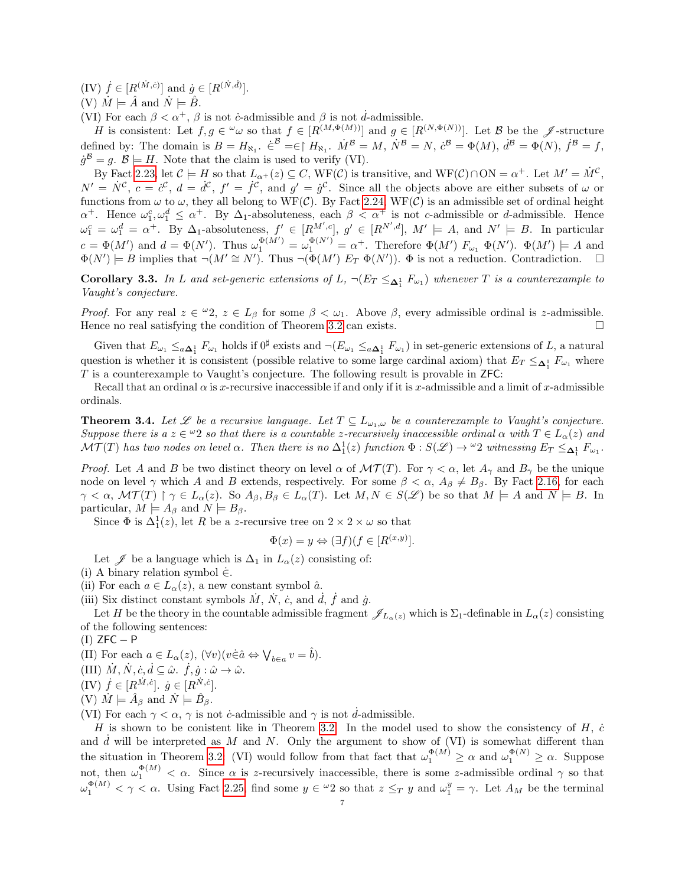(IV)  $\dot{f} \in [R^{(\dot{M}, \dot{c})}]$  and  $\dot{g} \in [R^{(\dot{N}, \dot{d})}]$ .

(V)  $\dot{M} \models \hat{A}$  and  $\dot{N} \models \hat{B}$ .

(VI) For each  $\beta < \alpha^+$ ,  $\beta$  is not *c*-admissible and  $\beta$  is not *d*-admissible.

H is consistent: Let  $f, g \in \omega$  so that  $f \in [R^{(M,\Phi(M))}]$  and  $g \in [R^{(N,\Phi(N))}]$ . Let B be the  $\mathscr J$ -structure defined by: The domain is  $B = H_{\aleph_1}$ .  $\dot{\in}^{\mathcal{B}} = \in \upharpoonright H_{\aleph_1}$ .  $\dot{M}^{\mathcal{B}} = M$ ,  $\dot{N}^{\mathcal{B}} = N$ ,  $\dot{c}^{\mathcal{B}} = \Phi(M)$ ,  $\dot{d}^{\mathcal{B}} = \Phi(N)$ ,  $\dot{f}^{\mathcal{B}} = f$ ,  $\dot{g}^{\mathcal{B}} = g$ .  $\mathcal{B} \models H$ . Note that the claim is used to verify (VI).

By Fact [2.23,](#page-4-0) let  $\mathcal{C} \models H$  so that  $L_{\alpha^+}(z) \subseteq C$ ,  $WF(\mathcal{C})$  is transitive, and  $WF(\mathcal{C}) \cap ON = \alpha^+$ . Let  $M' = \dot{M}^{\mathcal{C}}$ ,  $N' = N^c$ ,  $c = c^c$ ,  $d = d^c$ ,  $f' = f^c$ , and  $g' = g^c$ . Since all the objects above are either subsets of  $\omega$  or functions from  $\omega$  to  $\omega$ , they all belong to WF(C). By Fact [2.24,](#page-4-1) WF(C) is an admissible set of ordinal height  $\alpha^+$ . Hence  $\omega_1^c, \omega_1^d \leq \alpha^+$ . By  $\Delta_1$ -absoluteness, each  $\beta < \alpha^+$  is not c-admissible or d-admissible. Hence  $\omega_1^c = \omega_1^d = \alpha^+$ . By  $\Delta_1$ -absoluteness,  $f' \in [R^{M'}, c]$ ,  $g' \in [R^{N', d}]$ ,  $M' \models A$ , and  $N' \models B$ . In particular  $c = \Phi(M')$  and  $d = \Phi(N')$ . Thus  $\omega_1^{\Phi(M')} = \omega_1^{\Phi(N')} = \alpha^+$ . Therefore  $\Phi(M')$   $F_{\omega_1} \Phi(N')$ .  $\Phi(M') \models A$  and  $\Phi(N') = B$  implies that  $\neg(M' \cong N')$ . Thus  $\neg(\Phi(M') E_T \Phi(N'))$ .  $\Phi$  is not a reduction. Contradiction.  $\square$ 

**Corollary 3.3.** In L and set-generic extensions of L,  $\neg(E_T \leq_{\Delta_1^1} F_{\omega_1})$  whenever T is a counterexample to Vaught's conjecture.

*Proof.* For any real  $z \in \omega_2$ ,  $z \in L_\beta$  for some  $\beta < \omega_1$ . Above  $\beta$ , every admissible ordinal is z-admissible. Hence no real satisfying the condition of Theorem [3.2](#page-5-0) can exists.

Given that  $E_{\omega_1} \leq_{a\Delta_1^1} F_{\omega_1}$  holds if  $0^{\sharp}$  exists and  $\neg(E_{\omega_1} \leq_{a\Delta_1^1} F_{\omega_1})$  in set-generic extensions of L, a natural question is whether it is consistent (possible relative to some large cardinal axiom) that  $E_T \leq_{\mathbf{\Delta}_1^1} F_{\omega_1}$  where T is a counterexample to Vaught's conjecture. The following result is provable in ZFC:

Recall that an ordinal  $\alpha$  is x-recursive inaccessible if and only if it is x-admissible and a limit of x-admissible ordinals.

<span id="page-6-0"></span>**Theorem 3.4.** Let  $\mathscr L$  be a recursive language. Let  $T \subseteq L_{\omega_1,\omega}$  be a counterexample to Vaught's conjecture. Suppose there is a  $z \in \omega_2$  so that there is a countable z-recursively inaccessible ordinal  $\alpha$  with  $T \in L_\alpha(z)$  and  $\mathcal{MT}(T)$  has two nodes on level  $\alpha$ . Then there is no  $\Delta^1_1(z)$  function  $\Phi:S(\mathscr{L})\to{}^\omega 2$  witnessing  $E_T\leq_{\mathbf{\Delta}^1_1}F_{\omega_1}$ .

*Proof.* Let A and B be two distinct theory on level  $\alpha$  of  $\mathcal{MT}(T)$ . For  $\gamma < \alpha$ , let  $A_{\gamma}$  and  $B_{\gamma}$  be the unique node on level  $\gamma$  which A and B extends, respectively. For some  $\beta < \alpha$ ,  $A_{\beta} \neq B_{\beta}$ . By Fact [2.16,](#page-3-0) for each  $\gamma < \alpha$ ,  $\mathcal{MT}(T) \upharpoonright \gamma \in L_{\alpha}(z)$ . So  $A_{\beta}, B_{\beta} \in L_{\alpha}(T)$ . Let  $M, N \in S(\mathscr{L})$  be so that  $M \models A$  and  $N \models B$ . In particular,  $M \models A_{\beta}$  and  $N \models B_{\beta}$ .

Since  $\Phi$  is  $\Delta_1^1(z)$ , let R be a z-recursive tree on  $2 \times 2 \times \omega$  so that

$$
\Phi(x) = y \Leftrightarrow (\exists f)(f \in [R^{(x,y)}].
$$

Let  $\mathscr J$  be a language which is  $\Delta_1$  in  $L_\alpha(z)$  consisting of:

- (i) A binary relation symbol  $\dot{\in}$ .
- (ii) For each  $a \in L_{\alpha}(z)$ , a new constant symbol  $\hat{a}$ .
- (iii) Six distinct constant symbols  $\dot{M}$ ,  $\dot{N}$ ,  $\dot{c}$ , and  $\dot{d}$ ,  $\dot{f}$  and  $\dot{g}$ .

Let H be the theory in the countable admissible fragment  $\mathscr{J}_{L_{\alpha}(z)}$  which is  $\Sigma_1$ -definable in  $L_{\alpha}(z)$  consisting of the following sentences:

 $(I)$  ZFC – P

(II) For each 
$$
a \in L_{\alpha}(z)
$$
,  $(\forall v)(v \in \hat{a} \Leftrightarrow \bigvee_{b \in a} v = \hat{b}).$ 

(III)  $\dot{M}, \dot{N}, \dot{c}, \dot{d} \subseteq \hat{\omega}$ .  $\dot{f}, \dot{g} : \hat{\omega} \to \hat{\omega}$ .

 $(IV)$   $\dot{f} \in [R^{\dot{M}, \dot{c}}]$ .  $\dot{g} \in [R^{\dot{N}, \dot{c}}]$ .

(V)  $\dot{M} \models \hat{A}_{\beta}$  and  $\dot{N} \models \hat{B}_{\beta}$ .

(VI) For each  $\gamma < \alpha$ ,  $\gamma$  is not *c*-admissible and  $\gamma$  is not *d*-admissible.

H is shown to be conistent like in Theorem [3.2.](#page-5-0) In the model used to show the consistency of H,  $\dot{c}$ and  $d$  will be interpreted as  $M$  and  $N$ . Only the argument to show of (VI) is somewhat different than the situation in Theorem [3.2:](#page-5-0) (VI) would follow from that fact that  $\omega_1^{\Phi(M)} \ge \alpha$  and  $\omega_1^{\Phi(N)} \ge \alpha$ . Suppose not, then  $\omega_1^{\Phi(M)} < \alpha$ . Since  $\alpha$  is z-recursively inaccessible, there is some z-admissible ordinal  $\gamma$  so that  $\omega_1^{\Phi(M)} < \gamma < \alpha$ . Using Fact [2.25,](#page-4-3) find some  $y \in {}^{\omega}2$  so that  $z \leq_T y$  and  $\omega_1^y = \gamma$ . Let  $A_M$  be the terminal